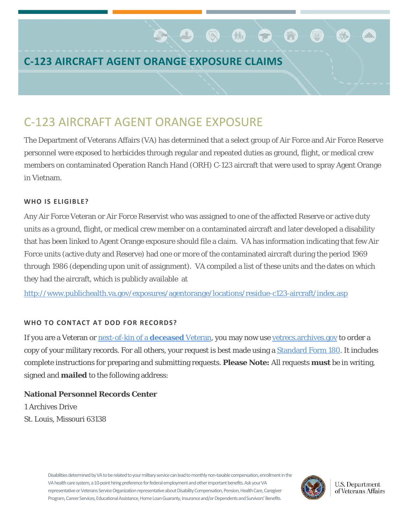## **C-123 AIRCRAFT AGENT ORANGE EXPOSURE CLAIMS**

# C-123 AIRCRAFT AGENT ORANGE EXPOSURE

The Department of Veterans Affairs (VA) has determined that a select group of Air Force and Air Force Reserve personnel were exposed to herbicides through regular and repeated duties as ground, flight, or medical crew members on contaminated Operation Ranch Hand (ORH) C-123 aircraft that were used to spray Agent Orange in Vietnam.

 $\bullet$  .  $\bullet$  .  $\bullet$  .  $\bullet$  .  $\bullet$  .  $\bullet$  .  $\bullet$  .  $\bullet$  .  $\bullet$  .  $\bullet$  .  $\bullet$  .  $\bullet$  .  $\bullet$  .  $\bullet$  .  $\bullet$  .  $\bullet$  .  $\bullet$  .  $\bullet$  .  $\bullet$  .  $\bullet$  .  $\bullet$  .  $\bullet$  .  $\bullet$  .  $\bullet$  .  $\bullet$  .  $\bullet$  .  $\bullet$  .  $\bullet$  .  $\bullet$  .  $\bullet$  .  $\bullet$  .  $\bullet$ 

谷

## **WHO IS ELIGIBLE?**

Any Air Force Veteran or Air Force Reservist who was assigned to one of the affected Reserve or active duty units as a ground, flight, or medical crew member on a contaminated aircraft and later developed a disability that has been linked to Agent Orange exposure should file a claim. VA has information indicating that few Air Force units (active duty and Reserve) had one or more of the contaminated aircraft during the period 1969 through 1986 (depending upon unit of assignment). VA compiled a list of these units and the dates on which they had the aircraft, which is publicly available at

<http://www.publichealth.va.gov/exposures/agentorange/locations/residue-c123-aircraft/index.asp>

## **WHO TO CONTACT AT DOD FOR RECORDS?**

If you are a Veteran or **next-of-kin of a deceased** Veteran, you may now us[e vetrecs.archives.gov](http://www.archives.gov/veterans/military-service-records/index.html) to order a copy of your military records. For all others, your request is best made using [a Standard Form 180.](http://www.archives.gov/veterans/military-service-records/standard-form-180.html) It includes complete instructions for preparing and submitting requests. **Please Note:** All requests **must** be in writing, signed and **mailed** to the following address:

## **National Personnel Records Center**

1 Archives Drive St. Louis, Missouri 63138

> Disabilities determined by VA to be related to your military service can lead to monthly non-taxable compensation, enrollment in the VA health care system, a 10-point hiring preference for federal employment and other important benefits. Ask your VA representative or Veterans Service Organization representative about Disability Compensation, Pension, Health Care, Caregiver Program, Career Services, Educational Assistance, Home Loan Guaranty, Insurance and/or Dependents and Survivors' Benefits.



**U.S. Department** of Veterans Affairs